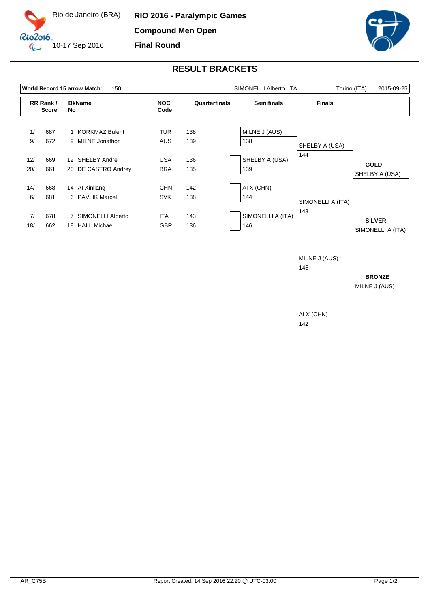



## **RESULT BRACKETS**

|            |                          |    | World Record 15 arrow Match:<br>150        |                          | SIMONELLI Alberto ITA |                          | Torino (ITA)<br>2015-09-25 |                                    |
|------------|--------------------------|----|--------------------------------------------|--------------------------|-----------------------|--------------------------|----------------------------|------------------------------------|
|            | RR Rank/<br><b>Score</b> |    | <b>BkName</b><br>No                        | <b>NOC</b><br>Code       | Quarterfinals         | <b>Semifinals</b>        | <b>Finals</b>              |                                    |
| 1/<br>9/   | 687<br>672               |    | 1 KORKMAZ Bulent<br>9 MILNE Jonathon       | TUR<br><b>AUS</b>        | 138<br>139            | MILNE J (AUS)<br>138     | SHELBY A (USA)             |                                    |
| 12/<br>20/ | 669<br>661               |    | 12 SHELBY Andre<br>20 DE CASTRO Andrey     | <b>USA</b><br><b>BRA</b> | 136<br>135            | SHELBY A (USA)<br>139    | 144                        | <b>GOLD</b><br>SHELBY A (USA)      |
| 14/<br>6/  | 668<br>681               |    | 14 Al Xinliang<br>6 PAVLIK Marcel          | <b>CHN</b><br><b>SVK</b> | 142<br>138            | AI X (CHN)<br>144        | SIMONELLI A (ITA)          |                                    |
| 7/<br>18/  | 678<br>662               | 18 | 7 SIMONELLI Alberto<br><b>HALL Michael</b> | ITA<br><b>GBR</b>        | 143<br>136            | SIMONELLI A (ITA)<br>146 | 143                        | <b>SILVER</b><br>SIMONELLI A (ITA) |